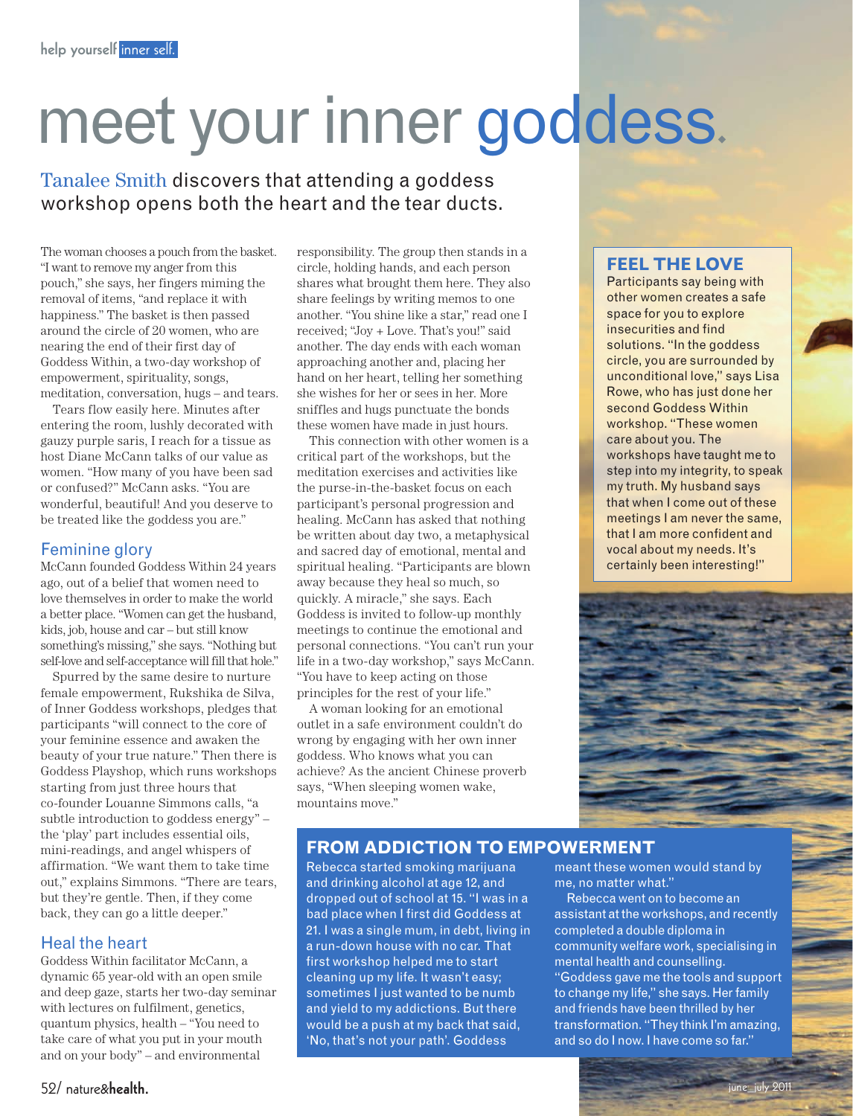# meet your inner goddess.

# Tanalee Smith discovers that attending a goddess workshop opens both the heart and the tear ducts.

The woman chooses a pouch from the basket. "I want to remove my anger from this pouch," she says, her fingers miming the removal of items, "and replace it with happiness." The basket is then passed around the circle of 20 women, who are nearing the end of their first day of Goddess Within, a two-day workshop of empowerment, spirituality, songs, meditation, conversation, hugs – and tears.

Tears flow easily here. Minutes after entering the room, lushly decorated with gauzy purple saris, I reach for a tissue as host Diane McCann talks of our value as women. "How many of you have been sad or confused?" McCann asks. "You are wonderful, beautiful! And you deserve to be treated like the goddess you are."

#### Feminine glory

McCann founded Goddess Within 24 years ago, out of a belief that women need to love themselves in order to make the world a better place. "Women can get the husband, kids, job, house and car – but still know something's missing," she says. "Nothing but self-love and self-acceptance will fill that hole."

Spurred by the same desire to nurture female empowerment, Rukshika de Silva, of Inner Goddess workshops, pledges that participants "will connect to the core of your feminine essence and awaken the beauty of your true nature." Then there is Goddess Playshop, which runs workshops starting from just three hours that co-founder Louanne Simmons calls, "a subtle introduction to goddess energy" – the 'play' part includes essential oils, mini-readings, and angel whispers of affirmation. "We want them to take time out," explains Simmons. "There are tears, but they're gentle. Then, if they come back, they can go a little deeper."

#### Heal the heart

Goddess Within facilitator McCann, a dynamic 65 year-old with an open smile and deep gaze, starts her two-day seminar with lectures on fulfilment, genetics, quantum physics, health – "You need to take care of what you put in your mouth and on your body" – and environmental

responsibility. The group then stands in a circle, holding hands, and each person shares what brought them here. They also share feelings by writing memos to one another. "You shine like a star," read one I received; "Joy + Love. That's you!" said another. The day ends with each woman approaching another and, placing her hand on her heart, telling her something she wishes for her or sees in her. More sniffles and hugs punctuate the bonds these women have made in just hours.

This connection with other women is a critical part of the workshops, but the meditation exercises and activities like the purse-in-the-basket focus on each participant's personal progression and healing. McCann has asked that nothing be written about day two, a metaphysical and sacred day of emotional, mental and spiritual healing. "Participants are blown away because they heal so much, so quickly. A miracle," she says. Each Goddess is invited to follow-up monthly meetings to continue the emotional and personal connections. "You can't run your life in a two-day workshop," says McCann. "You have to keep acting on those principles for the rest of your life."

A woman looking for an emotional outlet in a safe environment couldn't do wrong by engaging with her own inner goddess. Who knows what you can achieve? As the ancient Chinese proverb says, "When sleeping women wake, mountains move."

# **Feel the love**

Participants say being with other women creates a safe space for you to explore insecurities and find solutions. "In the goddess circle, you are surrounded by unconditional love," says Lisa Rowe, who has just done her second Goddess Within workshop. "These women care about you. The workshops have taught me to step into my integrity, to speak my truth. My husband says that when I come out of these meetings I am never the same, that I am more confident and vocal about my needs. It's certainly been interesting!"



## **From addiction to empowerment**

Rebecca started smoking marijuana and drinking alcohol at age 12, and dropped out of school at 15. "I was in a bad place when I first did Goddess at 21. I was a single mum, in debt, living in a run-down house with no car. That first workshop helped me to start cleaning up my life. It wasn't easy; sometimes I just wanted to be numb and yield to my addictions. But there would be a push at my back that said, 'No, that's not your path'. Goddess

meant these women would stand by me, no matter what."

Rebecca went on to become an assistant at the workshops, and recently completed a double diploma in community welfare work, specialising in mental health and counselling. "Goddess gave me the tools and support to change my life," she says. Her family and friends have been thrilled by her transformation. "They think I'm amazing, and so do I now. I have come so far."